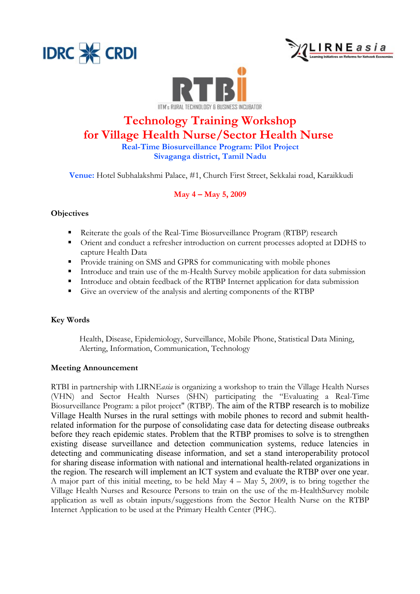





# **Technology Training Workshop for Village Health Nurse/Sector Health Nurse**

**Real-Time Biosurveillance Program: Pilot Project Sivaganga district, Tamil Nadu**

 **Venue:** Hotel Subhalakshmi Palace, #1, Church First Street, Sekkalai road, Karaikkudi

### **May 4 – May 5, 2009**

#### **Objectives**

- § Reiterate the goals of the Real-Time Biosurveillance Program (RTBP) research
- Orient and conduct a refresher introduction on current processes adopted at DDHS to capture Health Data
- § Provide training on SMS and GPRS for communicating with mobile phones
- Introduce and train use of the m-Health Survey mobile application for data submission
- Introduce and obtain feedback of the RTBP Internet application for data submission
- Give an overview of the analysis and alerting components of the RTBP

#### **Key Words**

Health, Disease, Epidemiology, Surveillance, Mobile Phone, Statistical Data Mining, Alerting, Information, Communication, Technology

#### **Meeting Announcement**

RTBI in partnership with LIRNE*asia* is organizing a workshop to train the Village Health Nurses (VHN) and Sector Health Nurses (SHN) participating the "Evaluating a Real-Time Biosurveillance Program: a pilot project" (RTBP). The aim of the RTBP research is to mobilize Village Health Nurses in the rural settings with mobile phones to record and submit healthrelated information for the purpose of consolidating case data for detecting disease outbreaks before they reach epidemic states. Problem that the RTBP promises to solve is to strengthen existing disease surveillance and detection communication systems, reduce latencies in detecting and communicating disease information, and set a stand interoperability protocol for sharing disease information with national and international health-related organizations in the region. The research will implement an ICT system and evaluate the RTBP over one year. A major part of this initial meeting, to be held May 4 – May 5, 2009, is to bring together the Village Health Nurses and Resource Persons to train on the use of the m-HealthSurvey mobile application as well as obtain inputs/suggestions from the Sector Health Nurse on the RTBP Internet Application to be used at the Primary Health Center (PHC).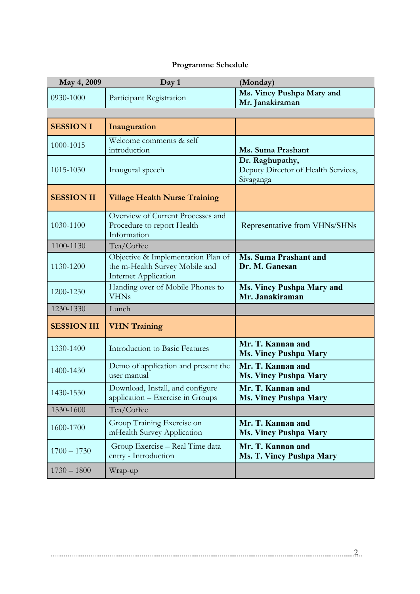## **Programme Schedule**

| May 4, 2009        | Day 1                                                                                               | (Monday)                                                            |
|--------------------|-----------------------------------------------------------------------------------------------------|---------------------------------------------------------------------|
| 0930-1000          | Participant Registration                                                                            | Ms. Vincy Pushpa Mary and<br>Mr. Janakiraman                        |
|                    |                                                                                                     |                                                                     |
| <b>SESSION I</b>   | Inauguration                                                                                        |                                                                     |
| 1000-1015          | Welcome comments & self<br>introduction                                                             | Ms. Suma Prashant                                                   |
| 1015-1030          | Inaugural speech                                                                                    | Dr. Raghupathy,<br>Deputy Director of Health Services,<br>Sivaganga |
| <b>SESSION II</b>  | <b>Village Health Nurse Training</b>                                                                |                                                                     |
| 1030-1100          | Overview of Current Processes and<br>Procedure to report Health<br>Information                      | Representative from VHNs/SHNs                                       |
| 1100-1130          | Tea/Coffee                                                                                          |                                                                     |
| 1130-1200          | Objective & Implementation Plan of<br>the m-Health Survey Mobile and<br><b>Internet Application</b> | <b>Ms. Suma Prashant and</b><br>Dr. M. Ganesan                      |
| 1200-1230          | Handing over of Mobile Phones to<br><b>VHNs</b>                                                     | <b>Ms. Vincy Pushpa Mary and</b><br>Mr. Janakiraman                 |
| 1230-1330          | Lunch                                                                                               |                                                                     |
| <b>SESSION III</b> | <b>VHN Training</b>                                                                                 |                                                                     |
| 1330-1400          | <b>Introduction to Basic Features</b>                                                               | Mr. T. Kannan and<br><b>Ms. Vincy Pushpa Mary</b>                   |
| 1400-1430          | Demo of application and present the<br>user manual                                                  | Mr. T. Kannan and<br><b>Ms. Vincy Pushpa Mary</b>                   |
| 1430-1530          | Download, Install, and configure<br>application - Exercise in Groups                                | Mr. T. Kannan and<br><b>Ms. Vincy Pushpa Mary</b>                   |
| 1530-1600          | Tea/Coffee                                                                                          |                                                                     |
| 1600-1700          | Group Training Exercise on<br>mHealth Survey Application                                            | Mr. T. Kannan and<br><b>Ms. Vincy Pushpa Mary</b>                   |
| $1700 - 1730$      | Group Exercise - Real Time data<br>entry - Introduction                                             | Mr. T. Kannan and<br><b>Ms. T. Vincy Pushpa Mary</b>                |
| $1730 - 1800$      | Wrap-up                                                                                             |                                                                     |

2